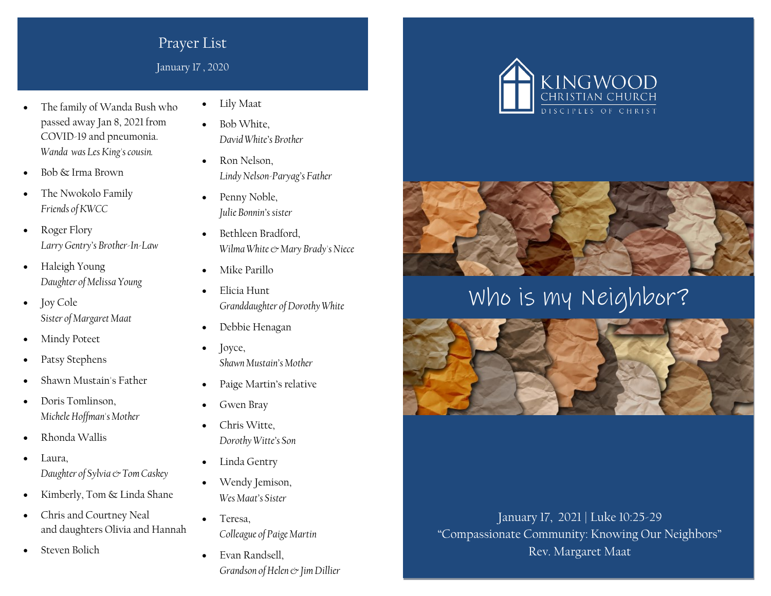## Prayer List

January 17 , 2020

- The family of Wanda Bush who passed away Jan 8, 2021 from COVID-19 and pneumonia. *Wanda was Les King's cousin.*
- Bob & Irma Brown
- The Nwokolo Family *Friends of KWCC*
- Roger Flory *Larry Gentry's Brother-In-Law*
- Haleigh Young *Daughter of Melissa Young*
- **Joy Cole** *Sister of Margaret Maat*
- Mindy Poteet
- Patsy Stephens
- Shawn Mustain's Father
- Doris Tomlinson, *Michele Hoffman's Mother*
- Rhonda Wallis
- Laura, *Daughter of Sylvia & Tom Caskey*
- Kimberly, Tom & Linda Shane
- Chris and Courtney Neal and daughters Olivia and Hannah
- Steven Bolich
- Lily Maat
- Bob White, *David White's Brother*
- Ron Nelson. *Lindy Nelson-Paryag's Father*
- Penny Noble, *Julie Bonnin's sister*
- Bethleen Bradford, *Wilma White & Mary Brady's Niece*
- Mike Parillo
- Elicia Hunt *Granddaughter of Dorothy White*
- Debbie Henagan
- Joyce, *Shawn Mustain's Mother*
- Paige Martin's relative
- Gwen Bray
- Chris Witte, *Dorothy Witte's Son*
- Linda Gentry
- Wendy Jemison, *Wes Maat's Sister*
- Teresa, *Colleague of Paige Martin*
- Evan Randsell, *Grandson of Helen & Jim Dillier*





Who is my Neighbor?



January 17, 2021 | Luke 10:25-29 "Compassionate Community: Knowing Our Neighbors" Rev. Margaret Maat